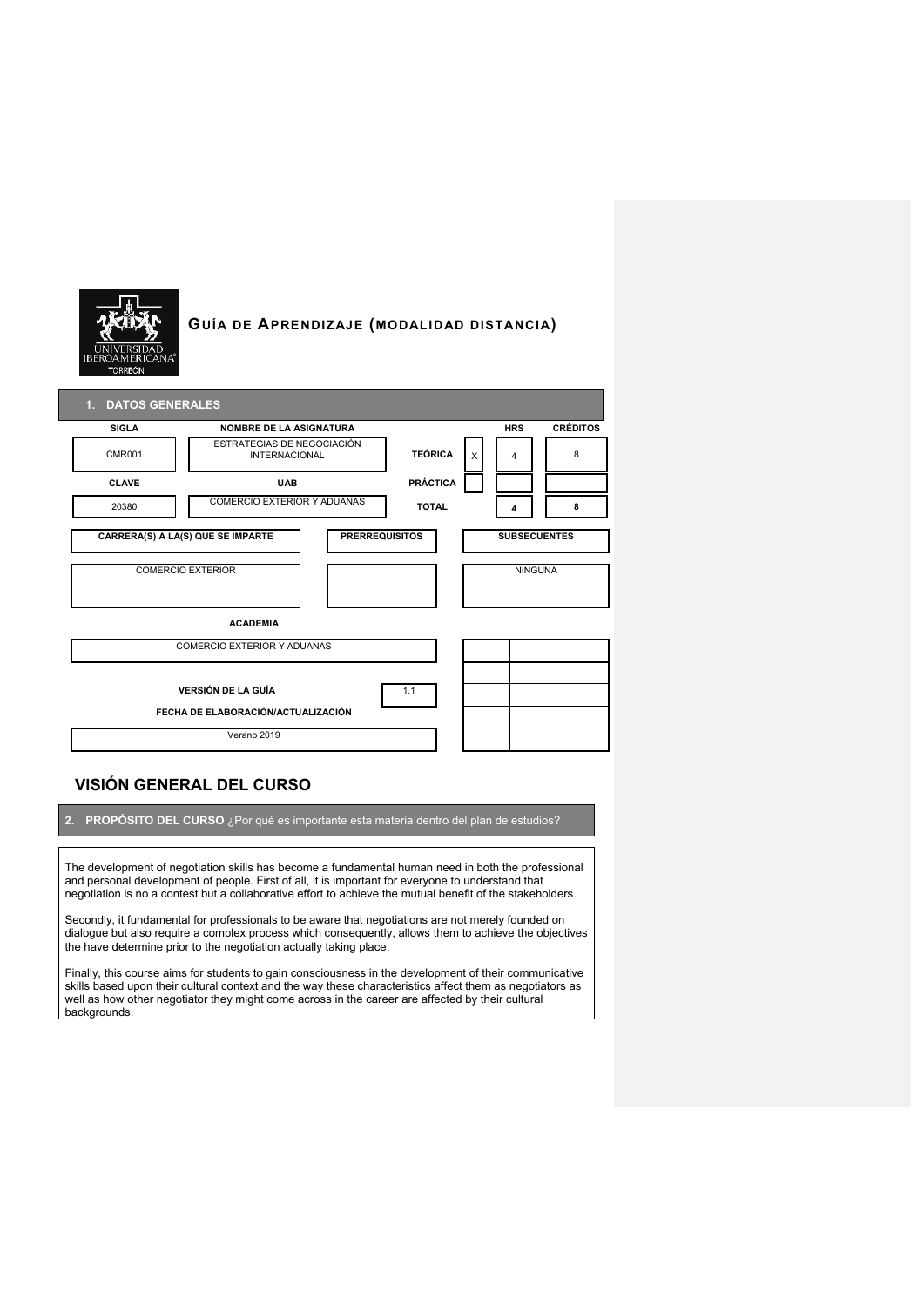

# **GUÍA DE APRENDIZAJE (MODALIDAD DISTANCIA)**

| 1. DATOS GENERALES                                                     |                                                    |  |                     |                     |                |                 |  |
|------------------------------------------------------------------------|----------------------------------------------------|--|---------------------|---------------------|----------------|-----------------|--|
| <b>SIGLA</b>                                                           | <b>NOMBRE DE LA ASIGNATURA</b>                     |  |                     |                     | <b>HRS</b>     | <b>CRÉDITOS</b> |  |
| <b>CMR001</b>                                                          | ESTRATEGIAS DE NEGOCIACIÓN<br><b>INTERNACIONAL</b> |  | <b>TEÓRICA</b><br>X |                     | 4              | 8               |  |
| <b>CLAVE</b>                                                           | <b>UAB</b>                                         |  | <b>PRÁCTICA</b>     |                     |                |                 |  |
| 20380                                                                  | COMERCIO EXTERIOR Y ADUANAS<br><b>TOTAL</b>        |  |                     | 4                   | 8              |                 |  |
| <b>CARRERA(S) A LA(S) QUE SE IMPARTE</b><br><b>PRERREQUISITOS</b>      |                                                    |  |                     | <b>SUBSECUENTES</b> |                |                 |  |
| <b>COMERCIO EXTERIOR</b>                                               |                                                    |  |                     |                     | <b>NINGUNA</b> |                 |  |
| <b>ACADEMIA</b>                                                        |                                                    |  |                     |                     |                |                 |  |
| COMERCIO EXTERIOR Y ADUANAS                                            |                                                    |  |                     |                     |                |                 |  |
| <b>VERSIÓN DE LA GUÍA</b><br>1.1<br>FECHA DE ELABORACIÓN/ACTUALIZACIÓN |                                                    |  |                     |                     |                |                 |  |
| Verano 2019                                                            |                                                    |  |                     |                     |                |                 |  |

# **VISIÓN GENERAL DEL CURSO**

**2. PROPÓSITO DEL CURSO** ¿Por qué es importante esta materia dentro del plan de estudios?

The development of negotiation skills has become a fundamental human need in both the professional and personal development of people. First of all, it is important for everyone to understand that negotiation is no a contest but a collaborative effort to achieve the mutual benefit of the stakeholders.

Secondly, it fundamental for professionals to be aware that negotiations are not merely founded on dialogue but also require a complex process which consequently, allows them to achieve the objectives the have determine prior to the negotiation actually taking place.

Finally, this course aims for students to gain consciousness in the development of their communicative skills based upon their cultural context and the way these characteristics affect them as negotiators as well as how other negotiator they might come across in the career are affected by their cultural backgrounds.